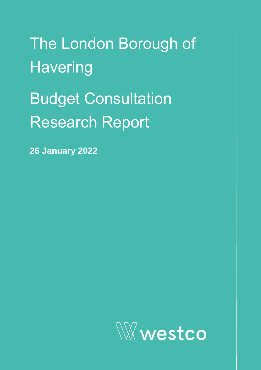The London Borough of **Havering** Budget Consultation Research Report

**26 January 2022**

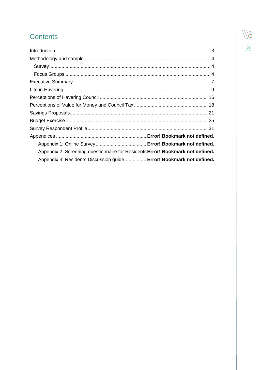### $\sqrt{N}$ 06

### **Contents**

| Appendix 2: Screening questionnaire for Residents Error! Bookmark not defined. |
|--------------------------------------------------------------------------------|
| Appendix 3: Residents Discussion guide Error! Bookmark not defined.            |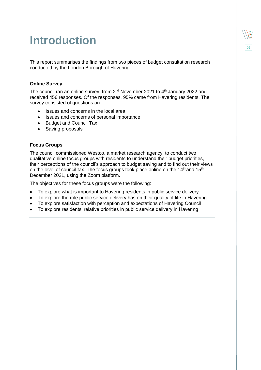### <span id="page-2-0"></span>**Introduction**

This report summarises the findings from two pieces of budget consultation research conducted by the London Borough of Havering.

#### **Online Survey**

The council ran an online survey, from  $2^{nd}$  November 2021 to  $4^{th}$  January 2022 and received 456 responses. Of the responses, 95% came from Havering residents. The survey consisted of questions on:

- Issues and concerns in the local area
- Issues and concerns of personal importance
- Budget and Council Tax
- Saving proposals

#### **Focus Groups**

The council commissioned Westco, a market research agency, to conduct two qualitative online focus groups with residents to understand their budget priorities, their perceptions of the council's approach to budget saving and to find out their views on the level of council tax. The focus groups took place online on the 14<sup>th</sup> and 15<sup>th</sup> December 2021, using the Zoom platform.

The objectives for these focus groups were the following:

- To explore what is important to Havering residents in public service delivery
- To explore the role public service delivery has on their quality of life in Havering
- To explore satisfaction with perception and expectations of Havering Council
- To explore residents' relative priorities in public service delivery in Havering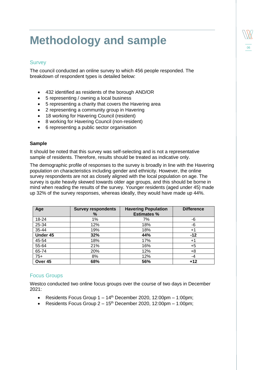# <span id="page-3-0"></span>**Methodology** and sample

#### <span id="page-3-1"></span>**Survey**

The council conducted an online survey to which 456 people responded. The breakdown of respondent types is detailed below:

- 432 identified as residents of the borough AND/OR
- 5 representing / owning a local business
- 5 representing a charity that covers the Havering area
- 2 representing a community group in Havering
- 18 working for Havering Council (resident)
- 8 working for Havering Council (non-resident)
- 6 representing a public sector organisation

#### **Sample**

It should be noted that this survey was self-selecting and is not a representative sample of residents. Therefore, results should be treated as indicative only.

The demographic profile of responses to the survey is broadly in line with the Havering population on characteristics including gender and ethnicity. However, the online survey respondents are not as closely aligned with the local population on age. The survey is quite heavily skewed towards older age groups, and this should be borne in mind when reading the results of the survey. Younger residents (aged under 45) made up 32% of the survey responses, whereas ideally, they would have made up 44%.

| Age      | <b>Survey respondents</b><br>% | <b>Havering Population</b><br><b>Estimates %</b> | <b>Difference</b> |
|----------|--------------------------------|--------------------------------------------------|-------------------|
| 18-24    | 1%                             | 7%                                               | -6                |
| 25-34    | 12%                            | 18%                                              | -6                |
| 35-44    | 19%                            | 18%                                              | $+1$              |
| Under 45 | 32%                            | 44%                                              | $-12$             |
| 45-54    | 18%                            | 17%                                              | $+1$              |
| 55-64    | 21%                            | 16%                                              | $+5$              |
| 65-74    | 20%                            | 12%                                              | $+8$              |
| $75+$    | 8%                             | 12%                                              | $-4$              |
| Over 45  | 68%                            | 56%                                              | $+12$             |

#### <span id="page-3-2"></span>Focus Groups

Westco conducted two online focus groups over the course of two days in December 2021:

- Residents Focus Group  $1 14<sup>th</sup>$  December 2020, 12:00pm 1:00pm;
- Residents Focus Group  $2 15$ <sup>th</sup> December 2020, 12:00pm 1:00pm;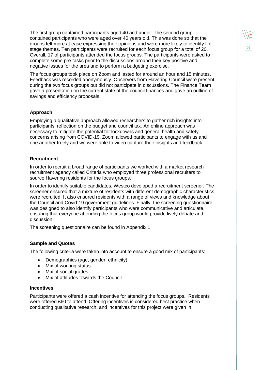The first group contained participants aged 40 and under. The second group contained participants who were aged over 40 years old. This was done so that the groups felt more at ease expressing their opinions and were more likely to identify life stage themes. Ten participants were recruited for each focus group for a total of 20. Overall, 17 of participants attended the focus groups. The participants were asked to complete some pre-tasks prior to the discussions around their key positive and negative issues for the area and to perform a budgeting exercise.

06

The focus groups took place on Zoom and lasted for around an hour and 15 minutes. Feedback was recorded anonymously. Observers from Havering Council were present during the two focus groups but did not participate in discussions. The Finance Team gave a presentation on the current state of the council finances and gave an outline of savings and efficiency proposals.

#### **Approach**

Employing a qualitative approach allowed researchers to gather rich insights into participants' reflection on the budget and council tax. An online approach was necessary to mitigate the potential for lockdowns and general health and safety concerns arising from COVID-19. Zoom allowed participants to engage with us and one another freely and we were able to video capture their insights and feedback.

#### **Recruitment**

In order to recruit a broad range of participants we worked with a market research recruitment agency called Criteria who employed three professional recruiters to source Havering residents for the focus groups.

In order to identify suitable candidates, Westco developed a recruitment screener. The screener ensured that a mixture of residents with different demographic characteristics were recruited. It also ensured residents with a range of views and knowledge about the Council and Covid-19 government guidelines. Finally, the screening questionnaire was designed to also identify participants who were communicative and articulate, ensuring that everyone attending the focus group would provide lively debate and discussion.

The screening questionnaire can be found in Appendix 1.

#### **Sample and Quotas**

The following criteria were taken into account to ensure a good mix of participants:

- Demographics (age, gender, ethnicity)
- Mix of working status
- Mix of social grades
- Mix of attitudes towards the Council

#### **Incentives**

Participants were offered a cash incentive for attending the focus groups. Residents were offered £60 to attend. Offering incentives is considered best practice when conducting qualitative research, and incentives for this project were given in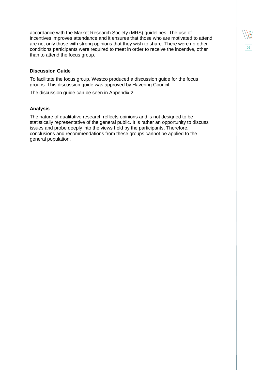accordance with the Market Research Society (MRS) guidelines. The use of incentives improves attendance and it ensures that those who are motivated to attend are not only those with strong opinions that they wish to share. There were no other conditions participants were required to meet in order to receive the incentive, other than to attend the focus group.

#### **Discussion Guide**

To facilitate the focus group, Westco produced a discussion guide for the focus groups. This discussion guide was approved by Havering Council.

The discussion guide can be seen in Appendix 2.

#### **Analysis**

The nature of qualitative research reflects opinions and is not designed to be statistically representative of the general public. It is rather an opportunity to discuss issues and probe deeply into the views held by the participants. Therefore, conclusions and recommendations from these groups cannot be applied to the general population.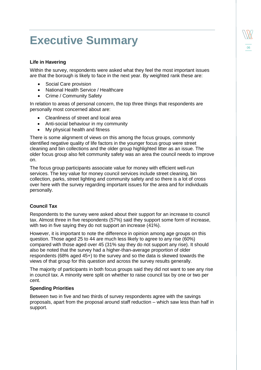### <span id="page-6-0"></span>**Executive Summary**

#### **Life in Havering**

Within the survey, respondents were asked what they feel the most important issues are that the borough is likely to face in the next year. By weighted rank these are:

06

- Social Care provision
- National Health Service / Healthcare
- Crime / Community Safety

In relation to areas of personal concern, the top three things that respondents are personally most concerned about are:

- Cleanliness of street and local area
- Anti-social behaviour in my community
- My physical health and fitness

There is some alignment of views on this among the focus groups, commonly identified negative quality of life factors in the younger focus group were street cleaning and bin collections and the older group highlighted litter as an issue. The older focus group also felt community safety was an area the council needs to improve on.

The focus group participants associate value for money with efficient well-run services. The key value for money council services include street cleaning, bin collection, parks, street lighting and community safety and so there is a lot of cross over here with the survey regarding important issues for the area and for individuals personally.

#### **Council Tax**

Respondents to the survey were asked about their support for an increase to council tax. Almost three in five respondents (57%) said they support some form of increase, with two in five saying they do not support an increase (41%).

However, it is important to note the difference in opinion among age groups on this question. Those aged 25 to 44 are much less likely to agree to any rise (60%) compared with those aged over 45 (31% say they do not support any rise). It should also be noted that the survey had a higher-than-average proportion of older respondents (68% aged 45+) to the survey and so the data is skewed towards the views of that group for this question and across the survey results generally.

The majority of participants in both focus groups said they did not want to see any rise in council tax. A minority were split on whether to raise council tax by one or two per cent.

#### **Spending Priorities**

Between two in five and two thirds of survey respondents agree with the savings proposals, apart from the proposal around staff reduction – which saw less than half in support.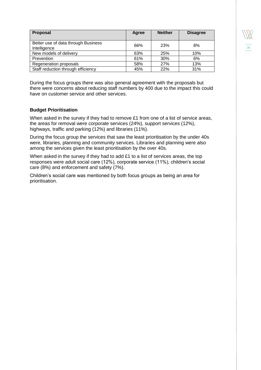| 06 |
|----|

| <b>Proposal</b>                                     | Agree | <b>Neither</b> | <b>Disagree</b> |
|-----------------------------------------------------|-------|----------------|-----------------|
| Better use of data through Business<br>Intelligence | 66%   | 23%            | 8%              |
| New models of delivery                              | 63%   | 25%            | 10%             |
| Prevention                                          | 61%   | 30%            | 6%              |
| Regeneration proposals                              | 58%   | 27%            | 13%             |
| Staff reduction through efficiency                  | 45%   | 22%            | 31%             |

During the focus groups there was also general agreement with the proposals but there were concerns about reducing staff numbers by 400 due to the impact this could have on customer service and other services.

#### **Budget Prioritisation**

When asked in the survey if they had to remove £1 from one of a list of service areas, the areas for removal were corporate services (24%), support services (12%), highways, traffic and parking (12%) and libraries (11%).

During the focus group the services that saw the least prioritisation by the under 40s were, libraries, planning and community services. Libraries and planning were also among the services given the least prioritisation by the over 40s.

When asked in the survey if they had to add £1 to a list of services areas, the top responses were adult social care (12%), corporate service (11%), children's social care (8%) and enforcement and safety (7%).

Children's social care was mentioned by both focus groups as being an area for prioritisation.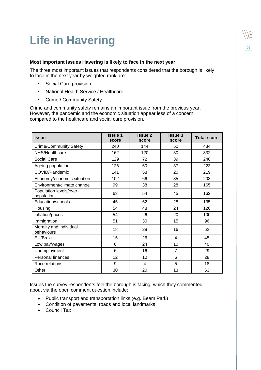# <span id="page-8-0"></span>**Life in Havering**

#### **Most important issues Havering is likely to face in the next year**

The three most important issues that respondents considered that the borough is likely to face in the next year by weighted rank are:

- Social Care provision
- National Health Service / Healthcare
- Crime / Community Safety

Crime and community safety remains an important issue from the previous year. However, the pandemic and the economic situation appear less of a concern compared to the healthcare and social care provision.

| <b>Issue</b>                          | <b>Issue 1</b><br>score | <b>Issue 2</b><br>score | <b>Issue 3</b><br>score | <b>Total score</b> |
|---------------------------------------|-------------------------|-------------------------|-------------------------|--------------------|
| <b>Crime/Community Safety</b>         | 240                     | 144                     | 50                      | 434                |
| NHS/Healthcare                        | 162                     | 120                     | 50                      | 332                |
| Social Care                           | 129                     | 72                      | 39                      | 240                |
| Ageing population                     | 126                     | 60                      | 37                      | 223                |
| COVID/Pandemic                        | 141                     | 58                      | 20                      | 219                |
| Economy/economic situation            | 102                     | 66                      | 35                      | 203                |
| Environment/climate change            | 99                      | 38                      | 28                      | 165                |
| Population levels/over-<br>population | 63                      | 54                      | 45                      | 162                |
| Education/schools                     | 45                      | 62                      | 28                      | 135                |
| Housing                               | 54                      | 48                      | 24                      | 126                |
| Inflation/prices                      | 54                      | 26                      | 20                      | 100                |
| Immigration                           | 51                      | 30                      | 15                      | 96                 |
| Morality and individual<br>behaviours | 18                      | 28                      | 16                      | 62                 |
| <b>EU/Brexit</b>                      | 15                      | 26                      | $\overline{4}$          | 45                 |
| Low pay/wages                         | 6                       | 24                      | 10                      | 40                 |
| Unemployment                          | 6                       | 16                      | $\overline{7}$          | 29                 |
| Personal finances                     | 12                      | 10                      | 6                       | 28                 |
| Race relations                        | 9                       | 4                       | 5                       | 18                 |
| Other                                 | 30                      | 20                      | 13                      | 63                 |

Issues the survey respondents feel the borough is facing, which they commented about via the open comment question include:

- Public transport and transportation links (e.g. Beam Park)
- Condition of pavements, roads and local landmarks
- Council Tax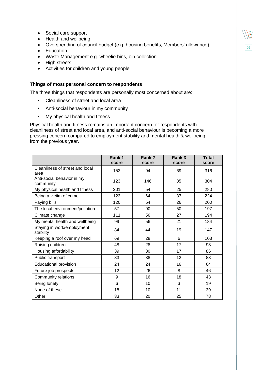- Social care support
- Health and wellbeing
- Overspending of council budget (e.g. housing benefits, Members' allowance)

06

- Education
- Waste Management e.g. wheelie bins, bin collection
- High streets
- Activities for children and young people

#### **Things of most personal concern to respondents**

The three things that respondents are personally most concerned about are:

- Cleanliness of street and local area
- Anti-social behaviour in my community
- My physical health and fitness

Physical health and fitness remains an important concern for respondents with cleanliness of street and local area, and anti-social behaviour is becoming a more pressing concern compared to employment stability and mental health & wellbeing from the previous year.

|                                         | Rank 1<br>score | Rank 2<br>score | Rank 3<br>score | <b>Total</b><br>score |
|-----------------------------------------|-----------------|-----------------|-----------------|-----------------------|
| Cleanliness of street and local<br>area | 153             | 94              | 69              | 316                   |
| Anti-social behavior in my<br>community | 123             | 146             | 35              | 304                   |
| My physical health and fitness          | 201             | 54              | 25              | 280                   |
| Being a victim of crime                 | 123             | 64              | 37              | 224                   |
| Paying bills                            | 120             | 54              | 26              | 200                   |
| The local environment/pollution         | 57              | 90              | 50              | 197                   |
| Climate change                          | 111             | 56              | 27              | 194                   |
| My mental health and wellbeing          | 99              | 56              | 21              | 184                   |
| Staying in work/employment<br>stability | 84              | 44              | 19              | 147                   |
| Keeping a roof over my head             | 69              | 28              | 6               | 103                   |
| Raising children                        | 48              | 28              | 17              | 93                    |
| Housing affordability                   | 39              | 30              | 17              | 86                    |
| Public transport                        | 33              | 38              | 12              | 83                    |
| <b>Educational provision</b>            | 24              | 24              | 16              | 64                    |
| Future job prospects                    | 12              | 26              | 8               | 46                    |
| Community relations                     | 9               | 16              | 18              | 43                    |
| Being lonely                            | 6               | 10              | 3               | 19                    |
| None of these                           | 18              | 10              | 11              | 39                    |
| Other                                   | 33              | 20              | 25              | 78                    |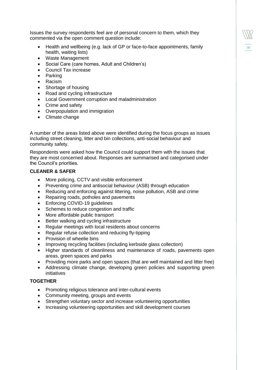Issues the survey respondents feel are of personal concern to them, which they commented via the open comment question include:

 Health and wellbeing (e.g. lack of GP or face-to-face appointments, family health, waiting lists)

06

- Waste Management
- Social Care (care homes, Adult and Children's)
- Council Tax increase
- Parking
- Racism
- Shortage of housing
- Road and cycling infrastructure
- Local Government corruption and maladministration
- Crime and safety
- Overpopulation and immigration
- Climate change

A number of the areas listed above were identified during the focus groups as issues including street cleaning, litter and bin collections, anti-social behaviour and community safety.

Respondents were asked how the Council could support them with the issues that they are most concerned about. Responses are summarised and categorised under the Council's priorities.

#### **CLEANER & SAFER**

- More policing, CCTV and visible enforcement
- Preventing crime and antisocial behaviour (ASB) through education
- Reducing and enforcing against littering, noise pollution, ASB and crime
- Repairing roads, potholes and pavements
- Enforcing COVID-19 quidelines
- Schemes to reduce congestion and traffic
- More affordable public transport
- Better walking and cycling infrastructure
- Regular meetings with local residents about concerns
- Regular refuse collection and reducing fly-tipping
- Provision of wheelie bins
- Improving recycling facilities (including kerbside glass collection)
- Higher standards of cleanliness and maintenance of roads, pavements open areas, green spaces and parks
- Providing more parks and open spaces (that are well maintained and litter free)
- Addressing climate change, developing green policies and supporting green initiatives

#### **TOGETHER**

- Promoting religious tolerance and inter-cultural events
- Community meeting, groups and events
- Strengthen voluntary sector and increase volunteering opportunities
- Increasing volunteering opportunities and skill development courses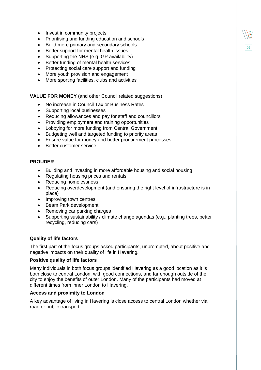- Invest in community projects
- Prioritising and funding education and schools
- Build more primary and secondary schools
- Better support for mental health issues
- Supporting the NHS (e.g. GP availability)
- Better funding of mental health services
- Protecting social care support and funding
- More youth provision and engagement
- More sporting facilities, clubs and activities

**VALUE FOR MONEY** (and other Council related suggestions)

- No increase in Council Tax or Business Rates
- Supporting local businesses
- Reducing allowances and pay for staff and councillors
- Providing employment and training opportunities
- Lobbying for more funding from Central Government
- Budgeting well and targeted funding to priority areas
- Ensure value for money and better procurement processes
- Better customer service

#### **PROUDER**

- Building and investing in more affordable housing and social housing
- Regulating housing prices and rentals
- Reducing homelessness
- Reducing overdevelopment (and ensuring the right level of infrastructure is in place)

06

- Improving town centres
- Beam Park development
- Removing car parking charges
- Supporting sustainability / climate change agendas (e.g., planting trees, better recycling, reducing cars)

#### **Quality of life factors**

The first part of the focus groups asked participants, unprompted, about positive and negative impacts on their quality of life in Havering.

#### **Positive quality of life factors**

Many individuals in both focus groups identified Havering as a good location as it is both close to central London, with good connections, and far enough outside of the city to enjoy the benefits of outer London. Many of the participants had moved at different times from inner London to Havering.

#### **Access and proximity to London**

A key advantage of living in Havering is close access to central London whether via road or public transport.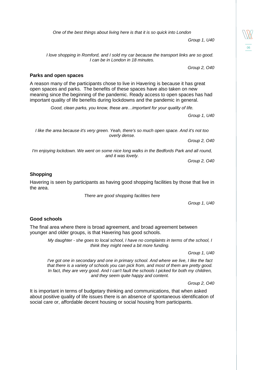*Group 1, U40*

06

*One of the best things about living here is that it is so quick into London* 

*I love shopping in Romford, and I sold my car because the transport links are so good. I can be in London in 18 minutes.* 

*Group 2, O40*

#### **Parks and open spaces**

A reason many of the participants chose to live in Havering is because it has great open spaces and parks. The benefits of these spaces have also taken on new meaning since the beginning of the pandemic. Ready access to open spaces has had important quality of life benefits during lockdowns and the pandemic in general.

*Good, clean parks, you know, these are…important for your quality of life.*

*Group 1, U40*

*I like the area because it's very green. Yeah, there's so much open space. And it's not too overly dense.*

*Group 2, O40*

*I'm enjoying lockdown. We went on some nice long walks in the Bedfords Park and all round, and it was lovely.* 

*Group 2, O40*

#### **Shopping**

Havering is seen by participants as having good shopping facilities by those that live in the area.

*There are good shopping facilities here* 

*Group 1, U40*

#### **Good schools**

The final area where there is broad agreement, and broad agreement between younger and older groups, is that Havering has good schools.

> *My daughter - she goes to local school, I have no complaints in terms of the school, I think they might need a bit more funding.*

> > *Group 1, U40*

*I've got one in secondary and one in primary school. And where we live, I like the fact that there is a variety of schools you can pick from, and most of them are pretty good. In fact, they are very good. And I can't fault the schools I picked for both my children, and they seem quite happy and content.* 

*Group 2, O40*

It is important in terms of budgetary thinking and communications, that when asked about positive quality of life issues there is an absence of spontaneous identification of social care or, affordable decent housing or social housing from participants.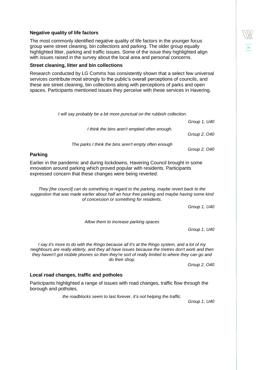#### **Negative quality of life factors**

The most commonly identified negative quality of life factors in the younger focus group were street cleaning, bin collections and parking. The older group equally highlighted litter, parking and traffic issues. Some of the issue they highlighted align with issues raised in the survey about the local area and personal concerns.

06

#### **Street cleaning, litter and bin collections**

Research conducted by LG Comms has consistently shown that a select few universal services contribute most strongly to the public's overall perceptions of councils, and these are street cleaning, bin collections along with perceptions of parks and open spaces. Participants mentioned issues they perceive with these services in Havering.

| I will say probably be a bit more punctual on the rubbish collection.                                                                                                                                                                                                                                            |              |
|------------------------------------------------------------------------------------------------------------------------------------------------------------------------------------------------------------------------------------------------------------------------------------------------------------------|--------------|
|                                                                                                                                                                                                                                                                                                                  | Group 1, U40 |
| I think the bins aren't emptied often enough.                                                                                                                                                                                                                                                                    | Group 2, 040 |
| The parks I think the bins aren't empty often enough                                                                                                                                                                                                                                                             | Group 2, 040 |
| <b>Parking</b>                                                                                                                                                                                                                                                                                                   |              |
| Earlier in the pandemic and during lockdowns, Havering Council brought in some<br>innovation around parking which proved popular with residents. Participants<br>expressed concern that these changes were being reverted.                                                                                       |              |
| They [the council] can do something in regard to the parking, maybe revert back to the<br>suggestion that was made earlier about half an hour free parking and maybe having some kind<br>of concession or something for residents.                                                                               |              |
|                                                                                                                                                                                                                                                                                                                  | Group 1, U40 |
| Allow them to increase parking spaces                                                                                                                                                                                                                                                                            | Group 1, U40 |
| I say it's more to do with the Ringo because all it's at the Ringo system, and a lot of my<br>neighbours are really elderly, and they all have issues because the metres don't work and then<br>they haven't got mobile phones so then they're sort of really limited to where they can go and<br>do their shop. |              |
|                                                                                                                                                                                                                                                                                                                  | Group 2, 040 |
| Local road changes, traffic and potholes                                                                                                                                                                                                                                                                         |              |
| Participants highlighted a range of issues with road changes, traffic flow through the<br>borough and potholes.                                                                                                                                                                                                  |              |
| the roadblocks seem to last forever, it's not helping the traffic.                                                                                                                                                                                                                                               | Group 1, U40 |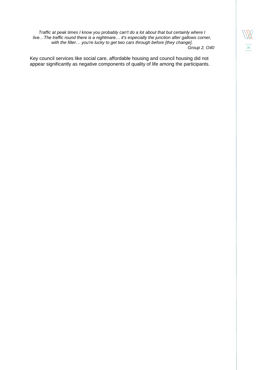*Traffic at peak times I know you probably can't do a lot about that but certainly where I live…The traffic round there is a nightmare… it's especially the junction after gallows corner, with the filter… you're lucky to get two cars through before [they change]. Group 2, O40*

Key council services like social care, affordable housing and council housing did not appear significantly as negative components of quality of life among the participants.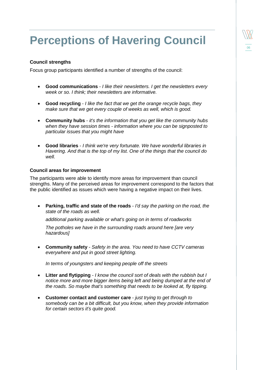### <span id="page-15-0"></span>**Perceptions of Havering Council**

06

#### **Council strengths**

Focus group participants identified a number of strengths of the council:

- **Good communications** *I like their newsletters. I get the newsletters every week or so. I think; their newsletters are informative.*
- **Good recycling**  *I like the fact that we get the orange recycle bags, they make sure that we get every couple of weeks as well, which is good.*
- **Community hubs**  *it's the information that you get like the community hubs when they have session times - information where you can be signposted to particular issues that you might have*
- **Good libraries**  *I think we're very fortunate. We have wonderful libraries in Havering. And that is the top of my list. One of the things that the council do well.*

#### **Council areas for improvement**

The participants were able to identify more areas for improvement than council strengths. Many of the perceived areas for improvement correspond to the factors that the public identified as issues which were having a negative impact on their lives.

 **Parking, traffic and state of the roads** - *I'd say the parking on the road, the state of the roads as well.*

*additional parking available or what's going on in terms of roadworks*

*The potholes we have in the surrounding roads around here [are very hazardous]*

 **Community safety** - *Safety in the area. You need to have CCTV cameras everywhere and put in good street lighting.*

*In terms of youngsters and keeping people off the streets*

- **Litter and flytipping** *I know the council sort of deals with the rubbish but I notice more and more bigger items being left and being dumped at the end of the roads. So maybe that's something that needs to be looked at, fly tipping.*
- **Customer contact and customer care**  *just trying to get through to somebody can be a bit difficult, but you know, when they provide information for certain sectors it's quite good.*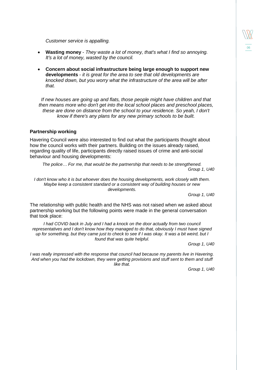*Customer service is appalling.*

- **Wasting money** *They waste a lot of money, that's what I find so annoying. It's a lot of money, wasted by the council.*
- **Concern about social infrastructure being large enough to support new developments** - *it is great for the area to see that old developments are knocked down, but you worry what the infrastructure of the area will be after that.*

*If new houses are going up and flats, those people might have children and that then means more who don't get into the local school places and preschool places, these are done on distance from the school to your residence. So yeah, I don't know if there's any plans for any new primary schools to be built.*

#### **Partnership working**

Havering Council were also interested to find out what the participants thought about how the council works with their partners. Building on the issues already raised, regarding quality of life, participants directly raised issues of crime and anti-social behaviour and housing developments:

*The police… For me, that would be the partnership that needs to be strengthened. Group 1, U40*

*I don't know who it is but whoever does the housing developments, work closely with them. Maybe keep a consistent standard or a consistent way of building houses or new developments.*

*Group 1, U40*

The relationship with public health and the NHS was not raised when we asked about partnership working but the following points were made in the general conversation that took place:

*I had COVID back in July and I had a knock on the door actually from two council representatives and I don't know how they managed to do that, obviously I must have signed up for something, but they came just to check to see if I was okay. It was a bit weird, but I found that was quite helpful.* 

*Group 1, U40*

*I was really impressed with the response that council had because my parents live in Havering. And when you had the lockdown, they were getting provisions and stuff sent to them and stuff like that.*

*Group 1, U40*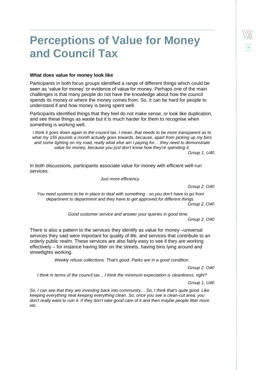### <span id="page-17-0"></span>**Perceptions of Value for Money and Council Tax**

#### **What does value for money look like**

Participants in both focus groups identified a range of different things which could be seen as 'value for money' or evidence of value for money. Perhaps one of the main challenges is that many people do not have the knowledge about how the council spends its money or where the money comes from. So, it can be hard for people to understand if and how money is being spent well.

Participants identified things that they feel do not make sense, or look like duplication, and see these things as waste but it is much harder for them to recognise when something is working well.

*I think it goes down again to the council tax. I mean, that needs to be more transparent as to what my 155 pounds a month actually goes towards, because, apart from picking up my bins and some lighting on my road, really what else am I paying for… they need to demonstrate value for money, because you just don't know how they're spending it.*

*Group 1, U40*

In both discussions, participants associate value for money with efficient well-run services:

*Just more efficiency.*

*Group 2, O40*

*You need systems to be in place to deal with something - so you don't have to go from department to department and they have to get approved for different things.* 

*Group 2, O40*

*Good customer service and answer your queries in good time.*

*Group 2, O40*

There is also a pattern to the services they identify as value for money –universal services they said were important for quality of life, and services that contribute to an orderly public realm. These services are also fairly easy to see if they are working effectively – for instance having litter on the streets, having bins lying around and streetlights working.

*Weekly refuse collections. That's good. Parks are in a good condition*.

*Group 2, O40*

*I think in terms of the council tax... I think the minimum expectation is cleanliness, right?* 

*Group 1, U40*

*So, I can see that they are investing back into community… So, I think that's quite good. Like keeping everything neat keeping everything clean. So, once you see a clean-cut area, you don't really want to ruin it. If they don't take good care of it and then maybe people litter more etc.*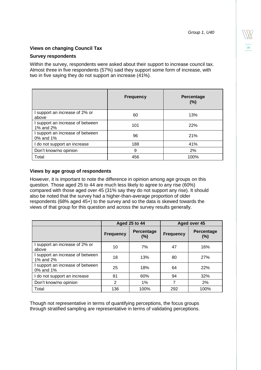#### **Views on changing Council Tax**

#### **Survey respondents**

Within the survey, respondents were asked about their support to increase council tax. Almost three in five respondents (57%) said they support some form of increase, with two in five saying they do not support an increase (41%).

|                                               | <b>Frequency</b> | Percentage<br>(%) |
|-----------------------------------------------|------------------|-------------------|
| I support an increase of 2% or<br>above       | 60               | 13%               |
| I support an increase of between<br>1% and 2% | 101              | 22%               |
| I support an increase of between<br>0% and 1% | 96               | 21%               |
| I do not support an increase                  | 188              | 41%               |
| Don't know/no opinion                         | 9                | 2%                |
| Total                                         | 456              | 100%              |

#### **Views by age group of respondents**

However, it is important to note the difference in opinion among age groups on this question. Those aged 25 to 44 are much less likely to agree to any rise (60%) compared with those aged over 45 (31% say they do not support any rise). It should also be noted that the survey had a higher-than-average proportion of older respondents (68% aged 45+) to the survey and so the data is skewed towards the views of that group for this question and across the survey results generally.

|                                               | <b>Aged 25 to 44</b> |                      | Aged over 45     |                   |
|-----------------------------------------------|----------------------|----------------------|------------------|-------------------|
|                                               | <b>Frequency</b>     | Percentage<br>$(\%)$ | <b>Frequency</b> | Percentage<br>(%) |
| I support an increase of 2% or<br>above       | 10                   | 7%                   | 47               | 16%               |
| I support an increase of between<br>1% and 2% | 18                   | 13%                  | 80               | 27%               |
| support an increase of between<br>0% and 1%   | 25                   | 18%                  | 64               | 22%               |
| I do not support an increase                  | 81                   | 60%                  | 94               | 32%               |
| Don't know/no opinion                         | $\mathfrak{p}$       | 1%                   | 7                | 2%                |
| Total                                         | 136                  | 100%                 | 292              | 100%              |

Though not representative in terms of quantifying perceptions, the focus groups through stratified sampling are representative in terms of validating perceptions.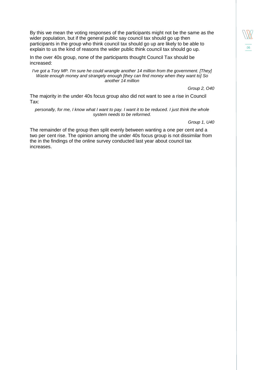By this we mean the voting responses of the participants might not be the same as the wider population, but if the general public say council tax should go up then participants in the group who think council tax should go up are likely to be able to explain to us the kind of reasons the wider public think council tax should go up.

In the over 40s group, none of the participants thought Council Tax should be increased:

*I've got a Tory MP. I'm sure he could wrangle another 14 million from the government. [They] Waste enough money and strangely enough [they can find money when they want to] So another 14 million*

*Group 2, O40*

06

The majority in the under 40s focus group also did not want to see a rise in Council Tax:

*personally, for me, I know what I want to pay. I want it to be reduced. I just think the whole system needs to be reformed.*

*Group 1, U40*

The remainder of the group then split evenly between wanting a one per cent and a two per cent rise. The opinion among the under 40s focus group is not dissimilar from the in the findings of the online survey conducted last year about council tax increases.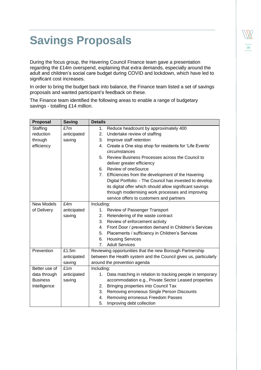### <span id="page-20-0"></span>**Savings Proposals**

During the focus group, the Havering Council Finance team gave a presentation regarding the £14m overspend, explaining that extra demands, especially around the adult and children's social care budget during COVID and lockdown, which have led to significant cost increases.

In order to bring the budget back into balance, the Finance team listed a set of savings proposals and wanted participant's feedback on these.

The Finance team identified the following areas to enable a range of budgetary savings - totalling £14 million.

| <b>Proposal</b>   | <b>Saving</b> | <b>Details</b>                                                   |
|-------------------|---------------|------------------------------------------------------------------|
| Staffing          | £7m           | Reduce headcount by approximately 400<br>1.                      |
| reduction         | anticipated   | Undertake review of staffing<br>2.                               |
| through           | saving        | 3.<br>Improve staff retention                                    |
| efficiency        |               | Create a One stop shop for residents for 'Life Events'<br>4.     |
|                   |               | circumstances                                                    |
|                   |               | Review Business Processes across the Council to<br>5.            |
|                   |               | deliver greater efficiency                                       |
|                   |               | Review of oneSource<br>6.                                        |
|                   |               | 7.<br>Efficiencies from the development of the Havering          |
|                   |               | Digital Portfolio: - The Council has invested to develop         |
|                   |               | its digital offer which should allow significant savings         |
|                   |               | through modernising work processes and improving                 |
|                   |               | service offers to customers and partners                         |
| <b>New Models</b> | £4m           | Including:                                                       |
| of Delivery       | anticipated   | Review of Passenger Transport<br>$1_{\cdot}$                     |
|                   | saving        | Retendering of the waste contract<br>2.                          |
|                   |               | Review of enforcement activity<br>3.                             |
|                   |               | Front Door / prevention demand in Children's Services<br>4.      |
|                   |               | Placements / sufficiency in Children's Services<br>5.            |
|                   |               | <b>Housing Services</b><br>6.                                    |
|                   |               | 7.<br><b>Adult Services</b>                                      |
| Prevention        | £1.5m         | Reviewing opportunities that the new Borough Partnership         |
|                   | anticipated   | between the Health system and the Council gives us, particularly |
|                   | saving        | around the prevention agenda                                     |
| Better use of     | £1m           | Including:                                                       |
| data through      | anticipated   | Data matching in relation to tracking people in temporary<br>1.  |
| <b>Business</b>   | saving        | accommodation e.g., Private Sector Leased properties             |
| Intelligence      |               | Bringing properties into Council Tax<br>2.                       |
|                   |               | Removing erroneous Single Person Discounts<br>3.                 |
|                   |               | Removing erroneous Freedom Passes<br>4.                          |
|                   |               | 5.<br>Improving debt collection                                  |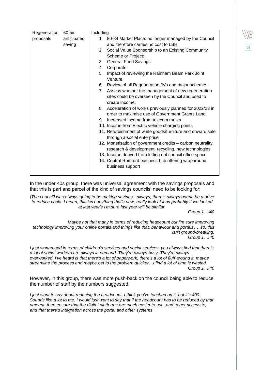| Regeneration | £0.5m       | Including                                                           |
|--------------|-------------|---------------------------------------------------------------------|
| proposals    | anticipated | 1. 80-84 Market Place: no longer managed by the Council             |
|              | saving      | and therefore carries no cost to LBH.                               |
|              |             | Social Value Sponsorship to an Existing Community<br>2.             |
|              |             | Scheme or Project:                                                  |
|              |             | <b>General Fund Savings</b><br>3.                                   |
|              |             | Corporate<br>4.                                                     |
|              |             | 5.<br>Impact of reviewing the Rainham Beam Park Joint               |
|              |             | Venture:                                                            |
|              |             | Review of all Regeneration JVs and major schemes<br>6.              |
|              |             | Assess whether the management of new regeneration<br>7 <sub>1</sub> |
|              |             | sites could be overseen by the Council and used to                  |
|              |             | create income.                                                      |
|              |             | Acceleration of works previously planned for 2022/23 in<br>8.       |
|              |             | order to maximise use of Government Grants Land                     |
|              |             | Increased income from telecom masts<br>9.                           |
|              |             | 10. Income from Electric vehicle charging points                    |
|              |             | 11. Refurbishment of white goods/furniture and onward sale          |
|              |             | through a social enterprise                                         |
|              |             | 12. Monetisation of government credits - carbon neutrality,         |
|              |             | research & development, recycling, new technologies                 |
|              |             | 13. Income derived from letting out council office space            |
|              |             | 14. Central Romford business hub offering wraparound                |
|              |             | business support                                                    |
|              |             |                                                                     |

In the under 40s group, there was universal agreement with the savings proposals and that this is part and parcel of the kind of savings councils' need to be looking for:

*[The council] was always going to be making savings - always, there's always gonna be a drive to reduce costs. I mean, this isn't anything that's new, really look at it as probably if we looked at last year's I'm sure last year will be similar.*

*Group 1, U40*

06

*Maybe not that many in terms of reducing headcount but I'm sure improving technology improving your online portals and things like that. behaviour and portals… so, this isn't ground-breaking. Group 1, U40*

*I just wanna add in terms of children's services and social services, you always find that there's a lot of social workers are always in demand. They're always busy. They're always overworked. I've heard is that there's a lot of paperwork, there's a lot of fluff around it, maybe streamline the process and maybe get to the problem quicker…I find a lot of time is wasted. Group 1, U40*

However, in this group, there was more push-back on the council being able to reduce the number of staff by the numbers suggested:

*I just want to say about reducing the headcount. I think you've touched on it, but it's 400. Sounds like a lot to me. I would just want to say that if the headcount has to be reduced by that amount, then ensure that the digital platforms are much easier to use, and to get access to, and that there's integration across the portal and other systems*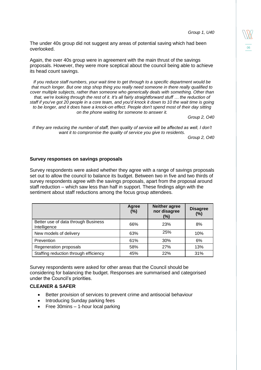*Group 1, U40*

06

The under 40s group did not suggest any areas of potential saving which had been overlooked.

Again, the over 40s group were in agreement with the main thrust of the savings proposals. However, they were more sceptical about the council being able to achieve its head count savings.

*If you reduce staff numbers, your wait time to get through to a specific department would be that much longer. But one stop shop thing you really need someone in there really qualified to cover multiple subjects, rather than someone who generically deals with something. Other than that, we're looking through the rest of it. It's all fairly straightforward stuff … the reduction of staff if you've got 20 people in a core team, and you'd knock it down to 10 the wait time is going to be longer, and it does have a knock-on effect. People don't spend most of their day sitting on the phone waiting for someone to answer it.*

*Group 2, O40*

*If they are reducing the number of staff, then quality of service will be affected as well, I don't want it to compromise the quality of service you give to residents.* 

*Group 2, O40*

#### **Survey responses on savings proposals**

Survey respondents were asked whether they agree with a range of savings proposals set out to allow the council to balance its budget. Between two in five and two thirds of survey respondents agree with the savings proposals, apart from the proposal around staff reduction – which saw less than half in support. These findings align with the sentiment about staff reductions among the focus group attendees.

|                                                     | Agree<br>(%) | <b>Neither agree</b><br>nor disagree<br>$(\%)$ | <b>Disagree</b><br>(%) |
|-----------------------------------------------------|--------------|------------------------------------------------|------------------------|
| Better use of data through Business<br>Intelligence | 66%          | 23%                                            | 8%                     |
| New models of delivery                              | 63%          | 25%                                            | 10%                    |
| Prevention                                          | 61%          | 30%                                            | 6%                     |
| Regeneration proposals                              | 58%          | 27%                                            | 13%                    |
| Staffing reduction through efficiency               | 45%          | 22%                                            | 31%                    |

Survey respondents were asked for other areas that the Council should be considering for balancing the budget. Responses are summarised and categorised under the Council's priorities.

#### **CLEANER & SAFER**

- Better provision of services to prevent crime and antisocial behaviour
- Introducing Sunday parking fees
- $\bullet$  Free 30mins  $-$  1-hour local parking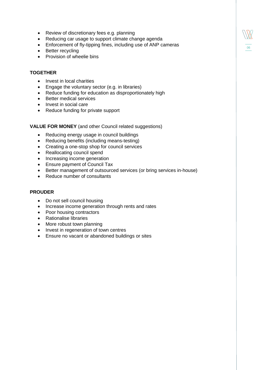- Review of discretionary fees e.g. planning
- Reducing car usage to support climate change agenda
- Enforcement of fly-tipping fines, including use of ANP cameras

06

- Better recycling
- Provision of wheelie bins

#### **TOGETHER**

- Invest in local charities
- Engage the voluntary sector (e.g. in libraries)
- Reduce funding for education as disproportionately high
- Better medical services
- Invest in social care
- Reduce funding for private support

#### **VALUE FOR MONEY** (and other Council related suggestions)

- Reducing energy usage in council buildings
- Reducing benefits (including means-testing)
- Creating a one-stop shop for council services
- Reallocating council spend
- Increasing income generation
- Ensure payment of Council Tax
- Better management of outsourced services (or bring services in-house)
- Reduce number of consultants

#### **PROUDER**

- Do not sell council housing
- Increase income generation through rents and rates
- Poor housing contractors
- Rationalise libraries
- More robust town planning
- Invest in regeneration of town centres
- Ensure no vacant or abandoned buildings or sites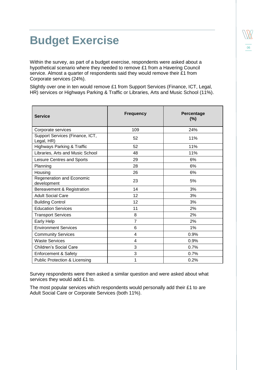### <span id="page-24-0"></span>**Budget Exercise**

Within the survey, as part of a budget exercise, respondents were asked about a hypothetical scenario where they needed to remove £1 from a Havering Council service. Almost a quarter of respondents said they would remove their £1 from Corporate services (24%).

Slightly over one in ten would remove £1 from Support Services (Finance, ICT, Legal, HR) services or Highways Parking & Traffic or Libraries, Arts and Music School (11%).

| <b>Service</b>                                | <b>Frequency</b> | Percentage<br>$(\%)$ |
|-----------------------------------------------|------------------|----------------------|
| Corporate services                            | 109              | 24%                  |
| Support Services (Finance, ICT,<br>Legal, HR) | 52               | 11%                  |
| <b>Highways Parking &amp; Traffic</b>         | 52               | 11%                  |
| Libraries, Arts and Music School              | 48               | 11%                  |
| Leisure Centres and Sports                    | 29               | 6%                   |
| Planning                                      | 28               | 6%                   |
| Housing                                       | 26               | 6%                   |
| Regeneration and Economic<br>development      | 23               | 5%                   |
| Bereavement & Registration                    | 14               | 3%                   |
| <b>Adult Social Care</b>                      | 12               | 3%                   |
| <b>Building Control</b>                       | 12               | 3%                   |
| <b>Education Services</b>                     | 11               | 2%                   |
| <b>Transport Services</b>                     | 8                | 2%                   |
| Early Help                                    | $\overline{7}$   | 2%                   |
| <b>Environment Services</b>                   | 6                | 1%                   |
| <b>Community Services</b>                     | 4                | 0.9%                 |
| <b>Waste Services</b>                         | 4                | 0.9%                 |
| <b>Children's Social Care</b>                 | 3                | 0.7%                 |
| <b>Enforcement &amp; Safety</b>               | 3                | 0.7%                 |
| <b>Public Protection &amp; Licensing</b>      | 1                | 0.2%                 |

Survey respondents were then asked a similar question and were asked about what services they would add £1 to.

The most popular services which respondents would personally add their £1 to are Adult Social Care or Corporate Services (both 11%).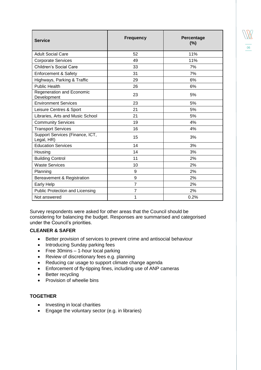| <b>Service</b>                                | <b>Frequency</b> | Percentage<br>(%) |
|-----------------------------------------------|------------------|-------------------|
| <b>Adult Social Care</b>                      | 52               | 11%               |
| <b>Corporate Services</b>                     | 49               | 11%               |
| <b>Children's Social Care</b>                 | 33               | 7%                |
| <b>Enforcement &amp; Safety</b>               | 31               | 7%                |
| Highways, Parking & Traffic                   | 29               | 6%                |
| <b>Public Health</b>                          | 26               | 6%                |
| Regeneration and Economic<br>Development      | 23               | 5%                |
| <b>Environment Services</b>                   | 23               | 5%                |
| Leisure Centres & Sport                       | 21               | 5%                |
| Libraries, Arts and Music School              | 21               | 5%                |
| <b>Community Services</b>                     | 19               | 4%                |
| <b>Transport Services</b>                     | 16               | 4%                |
| Support Services (Finance, ICT,<br>Legal, HR) | 15               | 3%                |
| <b>Education Services</b>                     | 14               | 3%                |
| Housing                                       | 14               | 3%                |
| <b>Building Control</b>                       | 11               | 2%                |
| <b>Waste Services</b>                         | 10               | 2%                |
| Planning                                      | 9                | 2%                |
| Bereavement & Registration                    | 9                | 2%                |
| <b>Early Help</b>                             | $\overline{7}$   | 2%                |
| <b>Public Protection and Licensing</b>        | $\overline{7}$   | 2%                |
| Not answered                                  | 1                | 0.2%              |

06

Survey respondents were asked for other areas that the Council should be considering for balancing the budget. Responses are summarised and categorised under the Council's priorities.

#### **CLEANER & SAFER**

- Better provision of services to prevent crime and antisocial behaviour
- Introducing Sunday parking fees
- Free 30mins 1-hour local parking
- Review of discretionary fees e.g. planning
- Reducing car usage to support climate change agenda
- Enforcement of fly-tipping fines, including use of ANP cameras
- Better recycling
- Provision of wheelie bins

#### **TOGETHER**

- Investing in local charities
- Engage the voluntary sector (e.g. in libraries)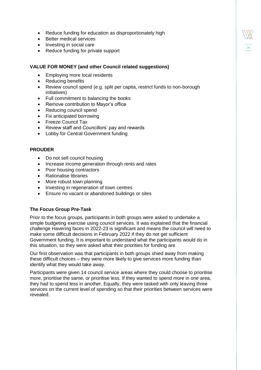- Reduce funding for education as disproportionately high
- Better medical services
- Investing in social care
- Reduce funding for private support

#### **VALUE FOR MONEY (and other Council related suggestions)**

- Employing more local residents
- Reducing benefits
- Review council spend (e.g. split per capita, restrict funds to non-borough initiatives)

06

- Full commitment to balancing the books
- Remove contribution to Mayor's office
- Reducing council spend
- Fix anticipated borrowing
- Freeze Council Tax
- Review staff and Councillors' pay and rewards
- Lobby for Central Government funding

#### **PROUDER**

- Do not sell council housing
- Increase income generation through rents and rates
- Poor housing contractors
- Rationalise libraries
- More robust town planning
- Investing in regeneration of town centres
- Ensure no vacant or abandoned buildings or sites

#### **The Focus Group Pre-Task**

Prior to the focus groups, participants in both groups were asked to undertake a simple budgeting exercise using council services. It was explained that the financial challenge Havering faces in 2022-23 is significant and means the council will need to make some difficult decisions in February 2022 if they do not get sufficient Government funding. It is important to understand what the participants would do in this situation, so they were asked what their priorities for funding are.

Our first observation was that participants in both groups shied away from making these difficult choices – they were more likely to give services more funding than identify what they would take away.

Participants were given 14 council service areas where they could choose to prioritise more, prioritise the same, or prioritise less. If they wanted to spend more in one area, they had to spend less in another. Equally, they were tasked with only leaving three services on the current level of spending so that their priorities between services were revealed.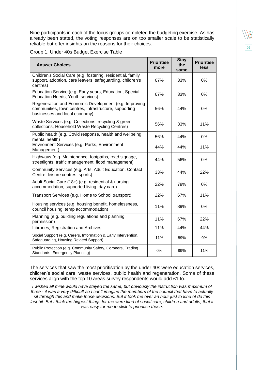Nine participants in each of the focus groups completed the budgeting exercise. As has already been stated, the voting responses are on too smaller scale to be statistically reliable but offer insights on the reasons for their choices.

|  |  | Group 1, Under 40s Budget Exercise Table |  |
|--|--|------------------------------------------|--|
|  |  |                                          |  |

| <b>Answer Choices</b>                                                                                                                           | <b>Prioritise</b><br>more | <b>Stay</b><br>the<br>same | <b>Prioritise</b><br>less |
|-------------------------------------------------------------------------------------------------------------------------------------------------|---------------------------|----------------------------|---------------------------|
| Children's Social Care (e.g. fostering, residential, family<br>support, adoption, care leavers, safeguarding, children's<br>centres)            | 67%                       | 33%                        | 0%                        |
| Education Service (e.g. Early years, Education, Special<br><b>Education Needs, Youth services)</b>                                              | 67%                       | 33%                        | 0%                        |
| Regeneration and Economic Development (e.g. Improving<br>communities, town centres, infrastructure, supporting<br>businesses and local economy) | 56%                       | 44%                        | 0%                        |
| Waste Services (e.g. Collections, recycling & green<br>collections, Household Waste Recycling Centres)                                          | 56%                       | 33%                        | 11%                       |
| Public health (e.g. Covid response, health and wellbeing,<br>mental health)                                                                     | 56%                       | 44%                        | 0%                        |
| Environnent Services (e.g. Parks, Environment<br>Management)                                                                                    | 44%                       | 44%                        | 11%                       |
| Highways (e.g. Maintenance, footpaths, road signage,<br>streetlights, traffic management, flood management)                                     | 44%                       | 56%                        | 0%                        |
| Community Services (e.g. Arts, Adult Education, Contact<br>Centre, leisure centres, sports)                                                     | 33%                       | 44%                        | 22%                       |
| Adult Social Care (18+) (e.g. residential & nursing<br>accommodation, supported living, day care)                                               | 22%                       | 78%                        | 0%                        |
| Transport Services (e.g. Home to School transport)                                                                                              | 22%                       | 67%                        | 11%                       |
| Housing services (e.g. housing benefit, homelessness,<br>council housing, temp accommodation)                                                   | 11%                       | 89%                        | 0%                        |
| Planning (e.g. building regulations and planning<br>permission)                                                                                 | 11%                       | 67%                        | 22%                       |
| Libraries, Registration and Archives                                                                                                            | 11%                       | 44%                        | 44%                       |
| Social Support (e.g. Carers, Information & Early Intervention,<br>Safeguarding, Housing Related Support)                                        | 11%                       | 89%                        | $0\%$                     |
| Public Protection (e.g. Community Safety, Coroners, Trading<br>Standards, Emergency Planning)                                                   | 0%                        | 89%                        | 11%                       |

The services that saw the most prioritisation by the under 40s were education services, children's social care, waste services, public health and regeneration. Some of these services align with the top 10 areas survey respondents would add £1 to.

*I wished all mine would have stayed the same, but obviously the instruction was maximum of three - it was a very difficult so I can't imagine the members of the council that have to actually sit through this and make those decisions. But it took me over an hour just to kind of do this* last bit. But I think the biggest things for me were kind of social care, children and adults, that it *was easy for me to click to prioritise those.*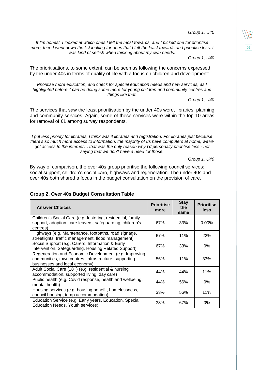*Group 1, U40*

06

*If I'm honest, I looked at which ones I felt the most towards, and I picked one for prioritise more, then I went down the list looking for ones that I felt the least towards and prioritise less. I was kind of selfish when thinking about my own needs.*

*Group 1, U40*

The prioritisations, to some extent, can be seen as following the concerns expressed by the under 40s in terms of quality of life with a focus on children and development:

*Prioritise more education, and check for special education needs and new services, as I highlighted before it can be doing some more for young children and community centres and things like that.*

*Group 1, U40*

The services that saw the least prioritisation by the under 40s were, libraries, planning and community services. Again, some of these services were within the top 10 areas for removal of £1 among survey respondents.

*I put less priority for libraries, I think was it libraries and registration. For libraries just because there's so much more access to information, the majority of us have computers at home, we've got access to the internet… that was the only reason why I'd personally prioritise less - not saying that we don't have a need for those.*

*Group 1, U40*

By way of comparison, the over 40s group prioritise the following council services: social support, children's social care, highways and regeneration. The under 40s and over 40s both shared a focus in the budget consultation on the provision of care.

#### **Group 2, Over 40s Budget Consultation Table**

| <b>Answer Choices</b>                                                                                                                           | <b>Prioritise</b><br>more | <b>Stay</b><br>the<br>same | <b>Prioritise</b><br>less |
|-------------------------------------------------------------------------------------------------------------------------------------------------|---------------------------|----------------------------|---------------------------|
| Children's Social Care (e.g. fostering, residential, family<br>support, adoption, care leavers, safeguarding, children's<br>centres)            | 67%                       | 33%                        | $0.00\%$                  |
| Highways (e.g. Maintenance, footpaths, road signage,<br>streetlights, traffic management, flood management)                                     | 67%                       | 11%                        | 22%                       |
| Social Support (e.g. Carers, Information & Early<br>Intervention, Safeguarding, Housing Related Support)                                        | 67%                       | 33%                        | 0%                        |
| Regeneration and Economic Development (e.g. Improving<br>communities, town centres, infrastructure, supporting<br>businesses and local economy) | 56%                       | 11%                        | 33%                       |
| Adult Social Care (18+) (e.g. residential & nursing<br>accommodation, supported living, day care)                                               | 44%                       | 44%                        | 11%                       |
| Public health (e.g. Covid response, health and wellbeing,<br>mental health)                                                                     | 44%                       | 56%                        | 0%                        |
| Housing services (e.g. housing benefit, homelessness,<br>council housing, temp accommodation)                                                   | 33%                       | 56%                        | 11%                       |
| Education Service (e.g. Early years, Education, Special<br>Education Needs, Youth services)                                                     | 33%                       | 67%                        | 0%                        |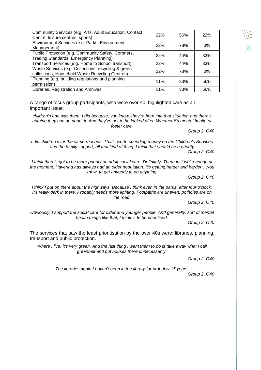| Community Services (e.g. Arts, Adult Education, Contact<br>Centre, leisure centres, sports)            | 22% | 56% | 22% |
|--------------------------------------------------------------------------------------------------------|-----|-----|-----|
| Environment Services (e.g. Parks, Environment<br>Management)                                           | 22% | 78% | 0%  |
| Public Protection (e.g. Community Safety, Coroners,<br>Trading Standards, Emergency Planning)          | 22% | 44% | 33% |
| Transport Services (e.g. Home to School transport)                                                     | 22% | 44% | 33% |
| Waste Services (e.g. Collections, recycling & green<br>collections, Household Waste Recycling Centres) | 22% | 78% | 0%  |
| Planning (e.g. building regulations and planning<br>permission)                                        | 11% | 33% | 56% |
| Libraries, Registration and Archives                                                                   | 11% | 33% | 56% |

A range of focus group participants, who were over 40, highlighted care as an important issue:

*children's one was them, I did because, you know, they're born into that situation and there's nothing they can do about it. And they've got to be looked after. Whether it's mental health or foster care.*

*Group 2, O40*

06

*I did children's for the same reasons. That's worth spending money on the Children's Services and the family support, all that kind of thing. I think that should be a priority*

*Group 2, O40*

*I think there's got to be more priority on adult social care. Definitely. There just isn't enough at the moment. Havering has always had an older population. It's getting harder and harder …you know, to get anybody to do anything.*

*Group 2, O40*

*I think I put on there about the highways. Because I think even in the parks, after four o'clock, it's really dark in there. Probably needs more lighting. Footpaths are uneven. potholes are on the road.*

*Group 2, O40*

*Obviously, I support the social care for older and younger people. And generally, sort of mental health things like that, I think is to be prioritised.*

*Group 2, O40*

The services that saw the least prioritisation by the over 40s were: libraries, planning, transport and public protection.

*Where I live, it's very green. And the last thing I want them to do is take away what I call greenbelt and put houses there unnecessarily.*

*Group 2, O40*

*The libraries again I haven't been in the library for probably 15 years.*

*Group 2, O40*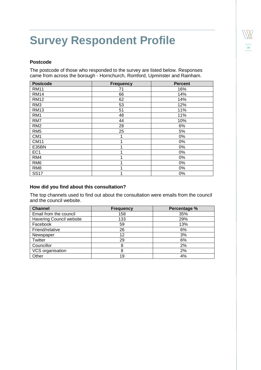## <span id="page-30-0"></span>**Survey Respondent Profile**

#### **Postcode**

The postcode of those who responded to the survey are listed below. Responses came from across the borough - Hornchurch, Romford, Upminster and Rainham.

06

| <b>Postcode</b> | <b>Frequency</b> | <b>Percent</b> |
|-----------------|------------------|----------------|
| <b>RM11</b>     | 71               | 16%            |
| <b>RM14</b>     | 66               | 14%            |
| <b>RM12</b>     | 62               | 14%            |
| RM <sub>3</sub> | 53               | 12%            |
| <b>RM13</b>     | 51               | 11%            |
| RM1             | 48               | 11%            |
| RM7             | 44               | 10%            |
| RM <sub>2</sub> | 28               | 6%             |
| RM <sub>5</sub> | 25               | 5%             |
| CM <sub>1</sub> |                  | 0%             |
| <b>CM11</b>     |                  | 0%             |
| E35BN           |                  | 0%             |
| EC <sub>1</sub> |                  | 0%             |
| RM4             |                  | 0%             |
| RM <sub>6</sub> |                  | 0%             |
| RM <sub>8</sub> |                  | 0%             |
| <b>SS17</b>     | 1                | 0%             |

#### **How did you find about this consultation?**

The top channels used to find out about the consultation were emails from the council and the council website.

| <b>Channel</b>                  | <b>Frequency</b> | Percentage % |
|---------------------------------|------------------|--------------|
| Email from the council          | 158              | 35%          |
| <b>Havering Council website</b> | 133              | 29%          |
| Facebook                        | 59               | 13%          |
| Friend/relative                 | 26               | 6%           |
| Newspaper                       | 12               | 3%           |
| Twitter                         | 29               | 6%           |
| Councillor                      | 8                | 2%           |
| VCS organisation                | 8                | 2%           |
| Other                           | 19               | 4%           |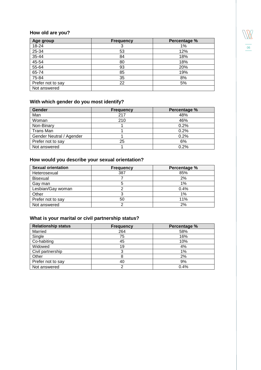

### **How old are you?**

| Age group         | <b>Frequency</b> | Percentage % |
|-------------------|------------------|--------------|
| 18-24             |                  | 1%           |
| 25-34             | 53               | 12%          |
| 35-44             | 84               | 18%          |
| 45-54             | 80               | 18%          |
| 55-64             | 93               | 20%          |
| 65-74             | 85               | 19%          |
| 75-84             | 35               | 8%           |
| Prefer not to say | 22               | 5%           |
| Not answered      |                  |              |

### **With which gender do you most identify?**

| Gender                   | <b>Frequency</b> | Percentage % |
|--------------------------|------------------|--------------|
| Man                      | 217              | 48%          |
| Woman                    | 210              | 46%          |
| Non-Binary               |                  | 0.2%         |
| Trans Man                |                  | 0.2%         |
| Gender Neutral / Agender |                  | 0.2%         |
| Prefer not to say        | 25               | 6%           |
| Not answered             |                  | 0.2%         |

### **How would you describe your sexual orientation?**

| <b>Sexual orientation</b> | <b>Frequency</b> | Percentage % |
|---------------------------|------------------|--------------|
| Heterosexual              | 387              | 85%          |
| Bisexual                  |                  | 2%           |
| Gay man                   |                  | $1\%$        |
| Lesbian/Gay woman         |                  | 0.4%         |
| Other                     |                  | $1\%$        |
| Prefer not to say         | 50               | 11%          |
| Not answered              |                  | 2%           |

#### **What is your marital or civil partnership status?**

| <b>Relationship status</b> | <b>Frequency</b> | Percentage % |
|----------------------------|------------------|--------------|
| Married                    | 264              | 58%          |
| Single                     | 75               | 16%          |
| Co-habiting                | 45               | 10%          |
| Widowed                    | 19               | 4%           |
| Civil partnership          |                  | 1%           |
| Other                      |                  | 2%           |
| Prefer not to say          | 40               | 9%           |
| Not answered               |                  | 0.4%         |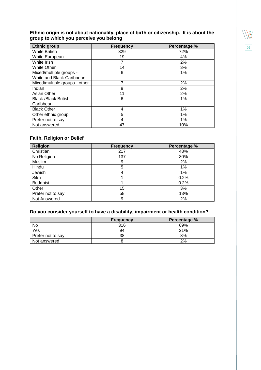#### **Ethnic origin is not about nationality, place of birth or citizenship. It is about the group to which you perceive you belong**

| <b>Ethnic group</b>           | <b>Frequency</b> | Percentage % |
|-------------------------------|------------------|--------------|
| <b>White British</b>          | 329              | 72%          |
| White European                | 19               | 4%           |
| White Irish                   |                  | 2%           |
| <b>White Other</b>            | 14               | 3%           |
| Mixed/multiple groups -       | 6                | 1%           |
| White and Black Caribbean     |                  |              |
| Mixed/multiple groups - other | 7                | 2%           |
| Indian                        | 9                | 2%           |
| <b>Asian Other</b>            | 11               | 2%           |
| Black /Black British -        | 6                | 1%           |
| Caribbean                     |                  |              |
| <b>Black Other</b>            | 4                | 1%           |
| Other ethnic group            | 5                | 1%           |
| Prefer not to say             | 4                | 1%           |
| Not answered                  | 47               | 10%          |

#### **Faith, Religion or Belief**

| <b>Religion</b>   | <b>Frequency</b> | Percentage % |
|-------------------|------------------|--------------|
| Christian         | 217              | 48%          |
| No Religion       | 137              | 30%          |
| Muslim            | 9                | 2%           |
| Hindu             | 5                | 1%           |
| Jewish            |                  | 1%           |
| Sikh              |                  | 0.2%         |
| <b>Buddhist</b>   |                  | 0.2%         |
| Other             | 15               | 3%           |
| Prefer not to say | 58               | 13%          |
| Not Answered      | 9                | 2%           |

### **Do you consider yourself to have a disability, impairment or health condition?**

|                   | <b>Frequency</b> | Percentage % |
|-------------------|------------------|--------------|
| No                | 316              | 69%          |
| Yes               | 94               | 21%          |
| Prefer not to say | 38               | 8%           |
| Not answered      |                  | 2%           |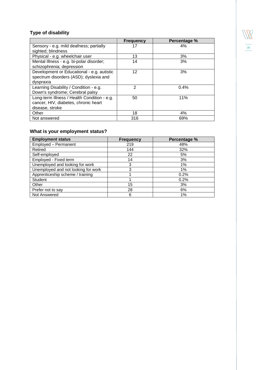### **Type of disability**

|                                             | <b>Frequency</b> | Percentage % |
|---------------------------------------------|------------------|--------------|
| Sensory - e.g. mild deafness; partially     | 17               | 4%           |
| sighted; blindness                          |                  |              |
| Physical - e.g. wheelchair user             | 13               | 3%           |
| Mental Illness - e.g. bi-polar disorder;    | 14               | 3%           |
| schizophrenia; depression                   |                  |              |
| Development or Educational - e.g. autistic  | 12               | 3%           |
| spectrum disorders (ASD); dyslexia and      |                  |              |
| dyspraxia                                   |                  |              |
| Learning Disability / Condition - e.g.      | $\mathfrak{p}$   | 0.4%         |
| Down's syndrome; Cerebral palsy             |                  |              |
| Long-term Illness / Health Condition - e.g. | 50               | 11%          |
| cancer, HIV, diabetes, chronic heart        |                  |              |
| disease, stroke                             |                  |              |
| Other                                       | 18               | 4%           |
| Not answered                                | 316              | 69%          |

### **What is your employment status?**

| <b>Employment status</b>            | <b>Frequency</b> | Percentage % |
|-------------------------------------|------------------|--------------|
| Employed - Permanent                | 219              | 48%          |
| Retired                             | 144              | 32%          |
| Self-employed                       | 22               | 5%           |
| Employed - Fixed term               | 14               | 3%           |
| Unemployed and looking for work     | 3                | 1%           |
| Unemployed and not looking for work | 3                | 1%           |
| Apprenticeship scheme / training    |                  | 0.2%         |
| <b>Student</b>                      |                  | 0.2%         |
| Other                               | 15               | 3%           |
| Prefer not to say                   | 28               | 6%           |
| Not Answered                        | 6                | 1%           |